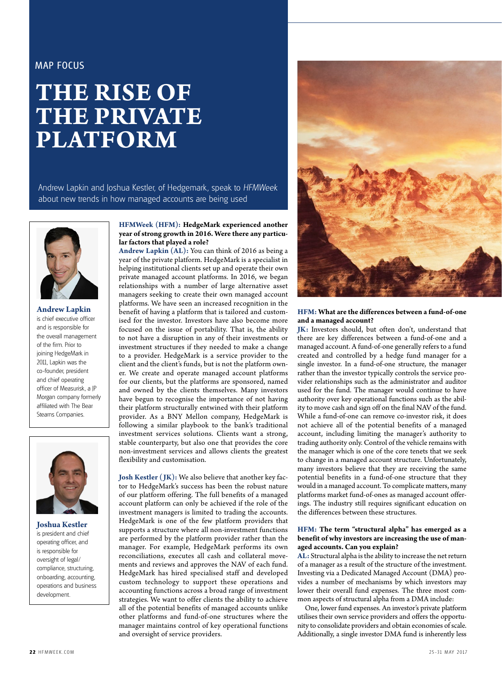# MAP FOCUS

# **THE RISE OF THE PRIVATE PLATFORM**

Andrew Lapkin and Joshua Kestler, of Hedgemark, speak to HFMWeek about new trends in how managed accounts are being used



**Andrew Lapkin** is chief executive officer and is responsible for the overall management of the firm. Prior to joining HedgeMark in 2011, Lapkin was the co-founder, president and chief operating officer of Measurisk, a JP Morgan company formerly affiliated with The Bear Stearns Companies.



**Joshua Kestler** is president and chief operating officer, and is responsible for oversight of legal/ compliance, structuring, onboarding, accounting, operations and business development.

# **HFMWeek (HFM): HedgeMark experienced another year of strong growth in 2016. Were there any particular factors that played a role?**

**Andrew Lapkin (AL):** You can think of 2016 as being a year of the private platform. HedgeMark is a specialist in helping institutional clients set up and operate their own private managed account platforms. In 2016, we began relationships with a number of large alternative asset managers seeking to create their own managed account platforms. We have seen an increased recognition in the benefit of having a platform that is tailored and customised for the investor. Investors have also become more focused on the issue of portability. That is, the ability to not have a disruption in any of their investments or investment structures if they needed to make a change to a provider. HedgeMark is a service provider to the client and the client's funds, but is not the platform owner. We create and operate managed account platforms for our clients, but the platforms are sponsored, named and owned by the clients themselves. Many investors have begun to recognise the importance of not having their platform structurally entwined with their platform provider. As a BNY Mellon company, HedgeMark is following a similar playbook to the bank's traditional investment services solutions. Clients want a strong, stable counterparty, but also one that provides the core non-investment services and allows clients the greatest flexibility and customisation.

**Josh Kestler ( JK):** We also believe that another key factor to HedgeMark's success has been the robust nature of our platform offering. The full benefits of a managed account platform can only be achieved if the role of the investment managers is limited to trading the accounts. HedgeMark is one of the few platform providers that supports a structure where all non-investment functions are performed by the platform provider rather than the manager. For example, HedgeMark performs its own reconciliations, executes all cash and collateral movements and reviews and approves the NAV of each fund. HedgeMark has hired specialised staff and developed custom technology to support these operations and accounting functions across a broad range of investment strategies. We want to offer clients the ability to achieve all of the potential benefits of managed accounts unlike other platforms and fund-of-one structures where the manager maintains control of key operational functions and oversight of service providers.



## **HFM: What are the differences between a fund-of-one and a managed account?**

**JK:** Investors should, but often don't, understand that there are key differences between a fund-of-one and a managed account. A fund-of-one generally refers to a fund created and controlled by a hedge fund manager for a single investor. In a fund-of-one structure, the manager rather than the investor typically controls the service provider relationships such as the administrator and auditor used for the fund. The manager would continue to have authority over key operational functions such as the ability to move cash and sign off on the final NAV of the fund. While a fund-of-one can remove co-investor risk, it does not achieve all of the potential benefits of a managed account, including limiting the manager's authority to trading authority only. Control of the vehicle remains with the manager which is one of the core tenets that we seek to change in a managed account structure. Unfortunately, many investors believe that they are receiving the same potential benefits in a fund-of-one structure that they would in a managed account. To complicate matters, many platforms market fund-of-ones as managed account offerings. The industry still requires significant education on the differences between these structures.

#### **HFM: The term "structural alpha" has emerged as a benefit of why investors are increasing the use of managed accounts. Can you explain?**

**AL:** Structural alpha is the ability to increase the net return of a manager as a result of the structure of the investment. Investing via a Dedicated Managed Account (DMA) provides a number of mechanisms by which investors may lower their overall fund expenses. The three most common aspects of structural alpha from a DMA include:

One, lower fund expenses. An investor's private platform utilises their own service providers and offers the opportunity to consolidate providers and obtain economies of scale. Additionally, a single investor DMA fund is inherently less